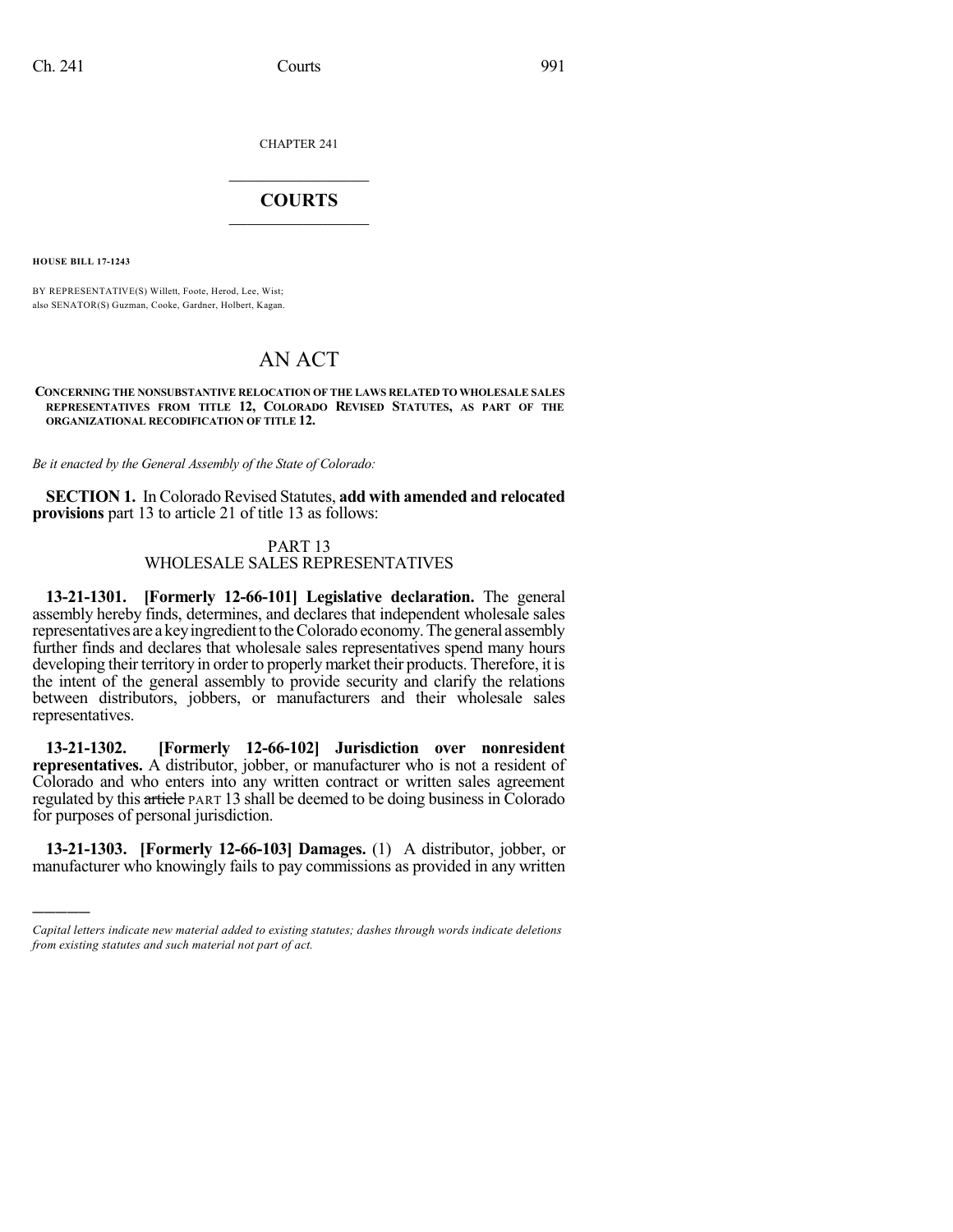CHAPTER 241

## $\mathcal{L}_\text{max}$  . The set of the set of the set of the set of the set of the set of the set of the set of the set of the set of the set of the set of the set of the set of the set of the set of the set of the set of the set **COURTS**  $\_$

**HOUSE BILL 17-1243**

)))))

BY REPRESENTATIVE(S) Willett, Foote, Herod, Lee, Wist; also SENATOR(S) Guzman, Cooke, Gardner, Holbert, Kagan.

## AN ACT

## **CONCERNING THE NONSUBSTANTIVE RELOCATION OF THE LAWS RELATED TO WHOLESALE SALES REPRESENTATIVES FROM TITLE 12, COLORADO REVISED STATUTES, AS PART OF THE ORGANIZATIONAL RECODIFICATION OF TITLE 12.**

*Be it enacted by the General Assembly of the State of Colorado:*

**SECTION 1.** In Colorado Revised Statutes, **add with amended and relocated provisions** part 13 to article 21 of title 13 as follows:

## PART 13 WHOLESALE SALES REPRESENTATIVES

**13-21-1301. [Formerly 12-66-101] Legislative declaration.** The general assembly hereby finds, determines, and declares that independent wholesale sales representatives are a key ingredient to the Colorado economy. The general assembly further finds and declares that wholesale sales representatives spend many hours developing their territory in order to properly market their products. Therefore, it is the intent of the general assembly to provide security and clarify the relations between distributors, jobbers, or manufacturers and their wholesale sales representatives.

**13-21-1302. [Formerly 12-66-102] Jurisdiction over nonresident representatives.** A distributor, jobber, or manufacturer who is not a resident of Colorado and who enters into any written contract or written sales agreement regulated by this article PART 13 shall be deemed to be doing business in Colorado for purposes of personal jurisdiction.

**13-21-1303. [Formerly 12-66-103] Damages.** (1) A distributor, jobber, or manufacturer who knowingly fails to pay commissions as provided in any written

*Capital letters indicate new material added to existing statutes; dashes through words indicate deletions from existing statutes and such material not part of act.*